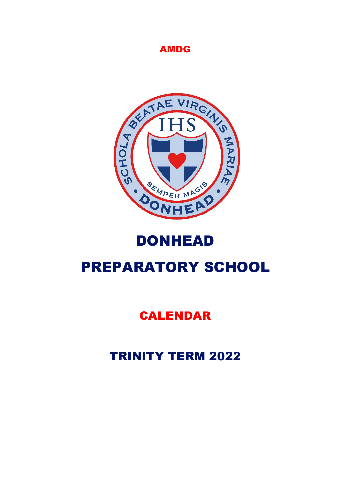### AMDG



# DONHEAD

# PREPARATORY SCHOOL

## CALENDAR

## TRINITY TERM 2022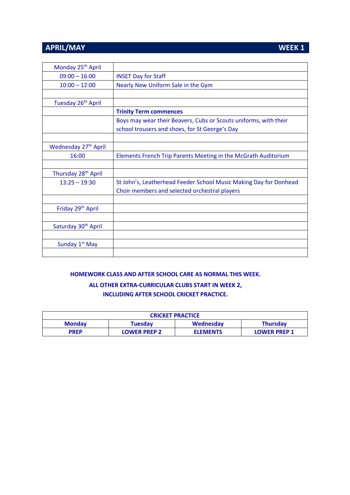### **APRIL/MAY** WEEK 1

| Monday 25 <sup>th</sup> April    |                                                                   |
|----------------------------------|-------------------------------------------------------------------|
| $09:00 - 16:00$                  | <b>INSET Day for Staff</b>                                        |
| $10:00 - 12:00$                  | Nearly New Uniform Sale in the Gym                                |
|                                  |                                                                   |
| Tuesday 26 <sup>th</sup> April   |                                                                   |
|                                  | <b>Trinity Term commences</b>                                     |
|                                  | Boys may wear their Beavers, Cubs or Scouts uniforms, with their  |
|                                  | school trousers and shoes, for St George's Day                    |
|                                  |                                                                   |
| Wednesday 27 <sup>th</sup> April |                                                                   |
| 16:00                            | Elements French Trip Parents Meeting in the McGrath Auditorium    |
|                                  |                                                                   |
| Thursday 28 <sup>th</sup> April  |                                                                   |
| $13:25 - 19:30$                  | St John's, Leatherhead Feeder School Music Making Day for Donhead |
|                                  | Choir members and selected orchestral players                     |
|                                  |                                                                   |
| Friday 29 <sup>th</sup> April    |                                                                   |
|                                  |                                                                   |
| Saturday 30 <sup>th</sup> April  |                                                                   |
|                                  |                                                                   |
| Sunday 1 <sup>st</sup> May       |                                                                   |
|                                  |                                                                   |

### **HOMEWORK CLASS AND AFTER SCHOOL CARE AS NORMAL THIS WEEK. ALL OTHER EXTRA-CURRICULAR CLUBS START IN WEEK 2, INCLUDING AFTER SCHOOL CRICKET PRACTICE.**

| <b>CRICKET PRACTICE</b> |                     |                 |                     |
|-------------------------|---------------------|-----------------|---------------------|
| <b>Monday</b>           | Tuesdav             | Wednesday       | <b>Thursday</b>     |
| <b>PREP</b>             | <b>LOWER PREP 2</b> | <b>ELEMENTS</b> | <b>LOWER PREP 1</b> |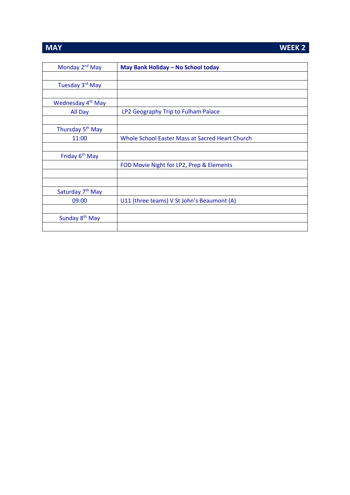Sunday 8<sup>th</sup> May

| Monday 2 <sup>nd</sup> May    | May Bank Holiday - No School today              |
|-------------------------------|-------------------------------------------------|
|                               |                                                 |
| Tuesday 3 <sup>rd</sup> May   |                                                 |
|                               |                                                 |
| Wednesday 4 <sup>th</sup> May |                                                 |
| All Day                       | LP2 Geography Trip to Fulham Palace             |
|                               |                                                 |
| Thursday 5 <sup>th</sup> May  |                                                 |
| 11:00                         | Whole School Easter Mass at Sacred Heart Church |
|                               |                                                 |
| Friday 6 <sup>th</sup> May    |                                                 |
|                               | FOD Movie Night for LP2, Prep & Elements        |
|                               |                                                 |
|                               |                                                 |
| Saturday 7 <sup>th</sup> May  |                                                 |
| 09:00                         | U11 (three teams) V St John's Beaumont (A)      |

### **MAY WEEK 2**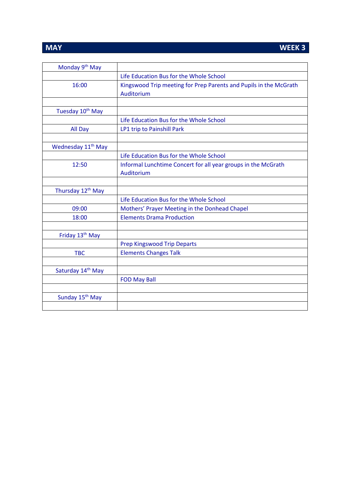| Monday 9 <sup>th</sup> May     |                                                                                 |
|--------------------------------|---------------------------------------------------------------------------------|
|                                | Life Education Bus for the Whole School                                         |
| 16:00                          | Kingswood Trip meeting for Prep Parents and Pupils in the McGrath<br>Auditorium |
|                                |                                                                                 |
| Tuesday 10 <sup>th</sup> May   |                                                                                 |
|                                | Life Education Bus for the Whole School                                         |
| All Day                        | LP1 trip to Painshill Park                                                      |
|                                |                                                                                 |
| Wednesday 11 <sup>th</sup> May |                                                                                 |
|                                | Life Education Bus for the Whole School                                         |
| 12:50                          | Informal Lunchtime Concert for all year groups in the McGrath                   |
|                                | Auditorium                                                                      |
|                                |                                                                                 |
| Thursday 12 <sup>th</sup> May  |                                                                                 |
|                                | Life Education Bus for the Whole School                                         |
| 09:00                          | Mothers' Prayer Meeting in the Donhead Chapel                                   |
| 18:00                          | <b>Elements Drama Production</b>                                                |
|                                |                                                                                 |
| Friday 13 <sup>th</sup> May    |                                                                                 |
|                                | <b>Prep Kingswood Trip Departs</b>                                              |
| <b>TBC</b>                     | <b>Elements Changes Talk</b>                                                    |
|                                |                                                                                 |
| Saturday 14th May              |                                                                                 |
|                                | <b>FOD May Ball</b>                                                             |
|                                |                                                                                 |
| Sunday 15 <sup>th</sup> May    |                                                                                 |
|                                |                                                                                 |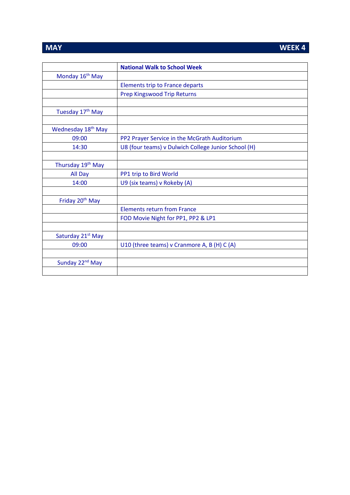**MAY WEEK 4** 

|                                | <b>National Walk to School Week</b>                 |
|--------------------------------|-----------------------------------------------------|
| Monday 16 <sup>th</sup> May    |                                                     |
|                                | <b>Elements trip to France departs</b>              |
|                                | <b>Prep Kingswood Trip Returns</b>                  |
|                                |                                                     |
| Tuesday 17 <sup>th</sup> May   |                                                     |
|                                |                                                     |
| Wednesday 18 <sup>th</sup> May |                                                     |
| 09:00                          | PP2 Prayer Service in the McGrath Auditorium        |
| 14:30                          | U8 (four teams) v Dulwich College Junior School (H) |
|                                |                                                     |
| Thursday 19 <sup>th</sup> May  |                                                     |
| All Day                        | PP1 trip to Bird World                              |
| 14:00                          | U9 (six teams) v Rokeby (A)                         |
|                                |                                                     |
| Friday 20 <sup>th</sup> May    |                                                     |
|                                | <b>Elements return from France</b>                  |
|                                | FOD Movie Night for PP1, PP2 & LP1                  |
|                                |                                                     |
| Saturday 21 <sup>st</sup> May  |                                                     |
| 09:00                          | U10 (three teams) v Cranmore A, B (H) C (A)         |
|                                |                                                     |
| Sunday 22 <sup>nd</sup> May    |                                                     |
|                                |                                                     |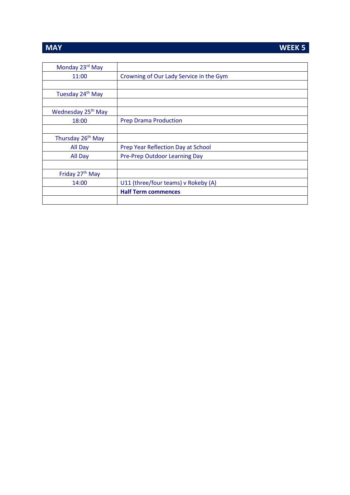### **MAY** WEEK 5

| Monday 23rd May                |                                           |
|--------------------------------|-------------------------------------------|
| 11:00                          | Crowning of Our Lady Service in the Gym   |
|                                |                                           |
| Tuesday 24 <sup>th</sup> May   |                                           |
|                                |                                           |
| Wednesday 25 <sup>th</sup> May |                                           |
| 18:00                          | <b>Prep Drama Production</b>              |
|                                |                                           |
| Thursday 26 <sup>th</sup> May  |                                           |
| All Day                        | <b>Prep Year Reflection Day at School</b> |
| All Day                        | Pre-Prep Outdoor Learning Day             |
|                                |                                           |
| Friday 27 <sup>th</sup> May    |                                           |
| 14:00                          | U11 (three/four teams) v Rokeby (A)       |
|                                | <b>Half Term commences</b>                |
|                                |                                           |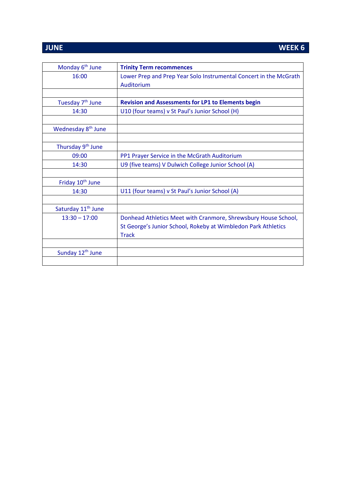### **JUNE WEEK 6**

| Monday 6 <sup>th</sup> June    | <b>Trinity Term recommences</b>                                   |
|--------------------------------|-------------------------------------------------------------------|
| 16:00                          | Lower Prep and Prep Year Solo Instrumental Concert in the McGrath |
|                                | Auditorium                                                        |
|                                |                                                                   |
| Tuesday 7 <sup>th</sup> June   | <b>Revision and Assessments for LP1 to Elements begin</b>         |
| 14:30                          | U10 (four teams) v St Paul's Junior School (H)                    |
|                                |                                                                   |
| Wednesday 8 <sup>th</sup> June |                                                                   |
|                                |                                                                   |
| Thursday 9 <sup>th</sup> June  |                                                                   |
| 09:00                          | PP1 Prayer Service in the McGrath Auditorium                      |
| 14:30                          | U9 (five teams) V Dulwich College Junior School (A)               |
|                                |                                                                   |
| Friday 10 <sup>th</sup> June   |                                                                   |
| 14:30                          | U11 (four teams) v St Paul's Junior School (A)                    |
|                                |                                                                   |
| Saturday 11 <sup>th</sup> June |                                                                   |
| $13:30 - 17:00$                | Donhead Athletics Meet with Cranmore, Shrewsbury House School,    |
|                                | St George's Junior School, Rokeby at Wimbledon Park Athletics     |
|                                | <b>Track</b>                                                      |
|                                |                                                                   |
| Sunday 12 <sup>th</sup> June   |                                                                   |
|                                |                                                                   |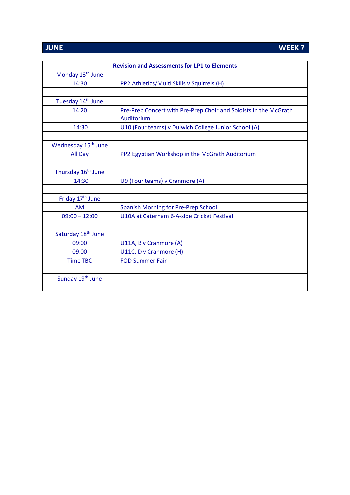**JUNE WEEK 7** 

| <b>Revision and Assessments for LP1 to Elements</b> |                                                                  |  |
|-----------------------------------------------------|------------------------------------------------------------------|--|
| Monday 13 <sup>th</sup> June                        |                                                                  |  |
| 14:30                                               | PP2 Athletics/Multi Skills v Squirrels (H)                       |  |
|                                                     |                                                                  |  |
| Tuesday 14 <sup>th</sup> June                       |                                                                  |  |
| 14:20                                               | Pre-Prep Concert with Pre-Prep Choir and Soloists in the McGrath |  |
|                                                     | Auditorium                                                       |  |
| 14:30                                               | U10 (Four teams) v Dulwich College Junior School (A)             |  |
|                                                     |                                                                  |  |
| Wednesday 15 <sup>th</sup> June                     |                                                                  |  |
| All Day                                             | PP2 Egyptian Workshop in the McGrath Auditorium                  |  |
|                                                     |                                                                  |  |
| Thursday 16 <sup>th</sup> June                      |                                                                  |  |
| 14:30                                               | U9 (Four teams) v Cranmore (A)                                   |  |
|                                                     |                                                                  |  |
| Friday 17 <sup>th</sup> June                        |                                                                  |  |
| <b>AM</b>                                           | Spanish Morning for Pre-Prep School                              |  |
| $09:00 - 12:00$                                     | U10A at Caterham 6-A-side Cricket Festival                       |  |
|                                                     |                                                                  |  |
| Saturday 18th June                                  |                                                                  |  |
| 09:00                                               | U11A, B v Cranmore (A)                                           |  |
| 09:00                                               | U11C, D v Cranmore (H)                                           |  |
| <b>Time TBC</b>                                     | <b>FOD Summer Fair</b>                                           |  |
|                                                     |                                                                  |  |
| Sunday 19 <sup>th</sup> June                        |                                                                  |  |
|                                                     |                                                                  |  |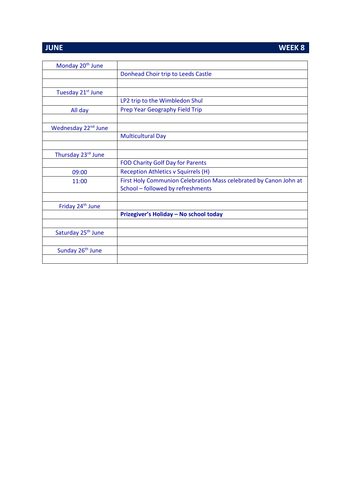### **JUNE WEEK 8**

| Monday 20 <sup>th</sup> June    |                                                                   |
|---------------------------------|-------------------------------------------------------------------|
|                                 | Donhead Choir trip to Leeds Castle                                |
|                                 |                                                                   |
| Tuesday 21 <sup>st</sup> June   |                                                                   |
|                                 | LP2 trip to the Wimbledon Shul                                    |
| All day                         | Prep Year Geography Field Trip                                    |
|                                 |                                                                   |
| Wednesday 22 <sup>nd</sup> June |                                                                   |
|                                 | <b>Multicultural Day</b>                                          |
|                                 |                                                                   |
| Thursday 23rd June              |                                                                   |
|                                 | <b>FOD Charity Golf Day for Parents</b>                           |
| 09:00                           | <b>Reception Athletics v Squirrels (H)</b>                        |
| 11:00                           | First Holy Communion Celebration Mass celebrated by Canon John at |
|                                 | School - followed by refreshments                                 |
|                                 |                                                                   |
| Friday 24 <sup>th</sup> June    |                                                                   |
|                                 | Prizegiver's Holiday - No school today                            |
|                                 |                                                                   |
| Saturday 25 <sup>th</sup> June  |                                                                   |
|                                 |                                                                   |
| Sunday 26 <sup>th</sup> June    |                                                                   |
|                                 |                                                                   |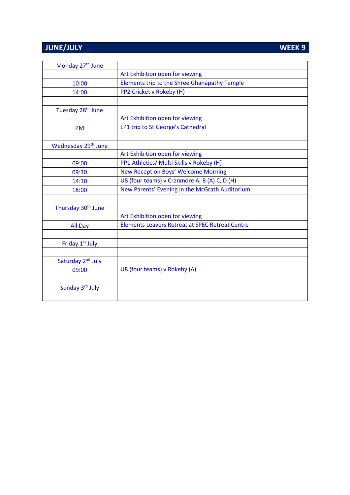## **JUNE/JULY**

| WEEK <sub>9</sub> |  |  |
|-------------------|--|--|
|                   |  |  |

| Monday 27 <sup>th</sup> June    |                                                        |
|---------------------------------|--------------------------------------------------------|
|                                 | Art Exhibition open for viewing                        |
| 10:00                           | Elements trip to the Shree Ghanapathy Temple           |
| 14:00                           | PP2 Cricket v Rokeby (H)                               |
|                                 |                                                        |
| Tuesday 28 <sup>th</sup> June   |                                                        |
|                                 | Art Exhibition open for viewing                        |
| <b>PM</b>                       | LP1 trip to St George's Cathedral                      |
|                                 |                                                        |
| Wednesday 29 <sup>th</sup> June |                                                        |
|                                 | Art Exhibition open for viewing                        |
| 09:00                           | PP1 Athletics/ Multi Skills v Rokeby (H)               |
| 09:30                           | New Reception Boys' Welcome Morning                    |
| 14:30                           | U8 (four teams) v Cranmore A, B (A) C, D (H)           |
| 18:00                           | New Parents' Evening in the McGrath Auditorium         |
|                                 |                                                        |
| Thursday 30 <sup>th</sup> June  |                                                        |
|                                 | Art Exhibition open for viewing                        |
| All Day                         | <b>Elements Leavers Retreat at SPEC Retreat Centre</b> |
|                                 |                                                        |
| Friday 1st July                 |                                                        |
|                                 |                                                        |
| Saturday 2 <sup>nd</sup> July   |                                                        |
| 09:00                           | U8 (four teams) v Rokeby (A)                           |
|                                 |                                                        |
| Sunday 3rd July                 |                                                        |
|                                 |                                                        |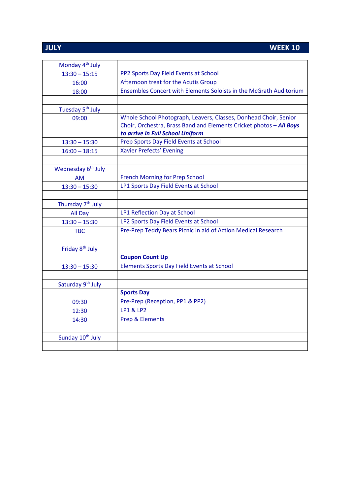## **JULY WEEK 10**

| Monday 4 <sup>th</sup> July    |                                                                     |
|--------------------------------|---------------------------------------------------------------------|
| $13:30 - 15:15$                | PP2 Sports Day Field Events at School                               |
| 16:00                          | Afternoon treat for the Acutis Group                                |
| 18:00                          | Ensembles Concert with Elements Soloists in the McGrath Auditorium  |
|                                |                                                                     |
| Tuesday 5 <sup>th</sup> July   |                                                                     |
| 09:00                          | Whole School Photograph, Leavers, Classes, Donhead Choir, Senior    |
|                                | Choir, Orchestra, Brass Band and Elements Cricket photos - All Boys |
|                                | to arrive in Full School Uniform                                    |
| $13:30 - 15:30$                | Prep Sports Day Field Events at School                              |
| $16:00 - 18:15$                | <b>Xavier Prefects' Evening</b>                                     |
|                                |                                                                     |
| Wednesday 6 <sup>th</sup> July |                                                                     |
| <b>AM</b>                      | <b>French Morning for Prep School</b>                               |
| $13:30 - 15:30$                | LP1 Sports Day Field Events at School                               |
|                                |                                                                     |
| Thursday 7 <sup>th</sup> July  |                                                                     |
| All Day                        | LP1 Reflection Day at School                                        |
| $13:30 - 15:30$                | LP2 Sports Day Field Events at School                               |
| <b>TBC</b>                     | Pre-Prep Teddy Bears Picnic in aid of Action Medical Research       |
|                                |                                                                     |
| Friday 8 <sup>th</sup> July    |                                                                     |
|                                | <b>Coupon Count Up</b>                                              |
| $13:30 - 15:30$                | Elements Sports Day Field Events at School                          |
|                                |                                                                     |
| Saturday 9 <sup>th</sup> July  |                                                                     |
|                                | <b>Sports Day</b>                                                   |
| 09:30                          | Pre-Prep (Reception, PP1 & PP2)                                     |
| 12:30                          | <b>LP1 &amp; LP2</b>                                                |
| 14:30                          | Prep & Elements                                                     |
|                                |                                                                     |
| Sunday 10 <sup>th</sup> July   |                                                                     |
|                                |                                                                     |